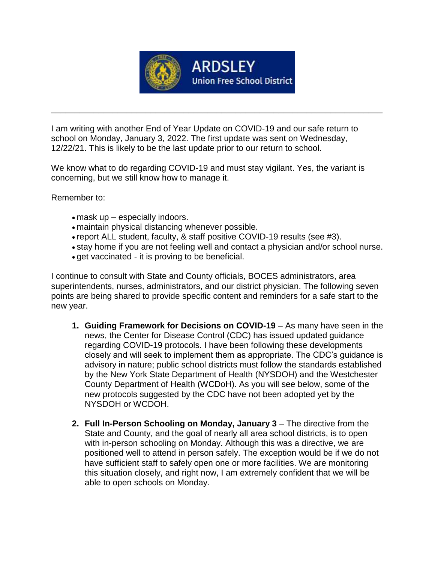

\_\_\_\_\_\_\_\_\_\_\_\_\_\_\_\_\_\_\_\_\_\_\_\_\_\_\_\_\_\_\_\_\_\_\_\_\_\_\_\_\_\_\_\_\_\_\_\_\_\_\_\_\_\_\_\_\_\_\_\_\_\_\_\_\_\_\_\_\_\_

I am writing with another End of Year Update on COVID-19 and our safe return to school on Monday, January 3, 2022. The first update was sent on Wednesday, 12/22/21. This is likely to be the last update prior to our return to school.

We know what to do regarding COVID-19 and must stay vigilant. Yes, the variant is concerning, but we still know how to manage it.

Remember to:

- mask up especially indoors.
- maintain physical distancing whenever possible.
- report ALL student, faculty, & staff positive COVID-19 results (see #3).
- stay home if you are not feeling well and contact a physician and/or school nurse.
- get vaccinated it is proving to be beneficial.

I continue to consult with State and County officials, BOCES administrators, area superintendents, nurses, administrators, and our district physician. The following seven points are being shared to provide specific content and reminders for a safe start to the new year.

- **1. Guiding Framework for Decisions on COVID-19** As many have seen in the news, the Center for Disease Control (CDC) has issued updated guidance regarding COVID-19 protocols. I have been following these developments closely and will seek to implement them as appropriate. The CDC's guidance is advisory in nature; public school districts must follow the standards established by the New York State Department of Health (NYSDOH) and the Westchester County Department of Health (WCDoH). As you will see below, some of the new protocols suggested by the CDC have not been adopted yet by the NYSDOH or WCDOH.
- **2. Full In-Person Schooling on Monday, January 3** The directive from the State and County, and the goal of nearly all area school districts, is to open with in-person schooling on Monday. Although this was a directive, we are positioned well to attend in person safely. The exception would be if we do not have sufficient staff to safely open one or more facilities. We are monitoring this situation closely, and right now, I am extremely confident that we will be able to open schools on Monday.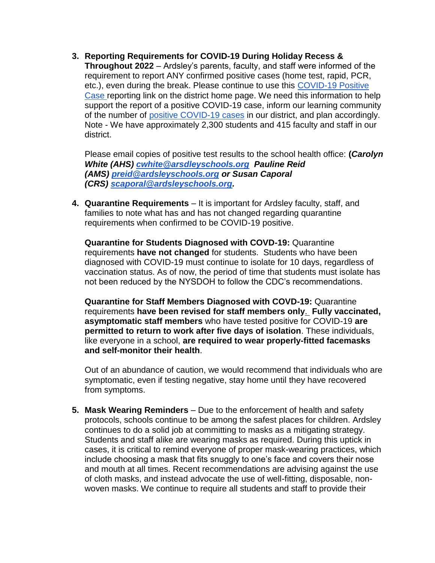**3. Reporting Requirements for COVID-19 During Holiday Recess & Throughout 2022** – Ardsley's parents, faculty, and staff were informed of the requirement to report ANY confirmed positive cases (home test, rapid, PCR, etc.), even during the break. Please continue to use this [COVID-19 Positive](https://www.surveymonkey.com/r/62K3RZY)  [Case](https://www.surveymonkey.com/r/62K3RZY) reporting link on the district home page. We need this information to help support the report of a positive COVID-19 case, inform our learning community of the number of [positive COVID-19 cases](https://docs.google.com/spreadsheets/d/1BRFm-rtP9Y3Coxlk7NoSIXDVf_C6EjZ1pXJnonT3VHI/edit#gid=0) in our district, and plan accordingly. Note - We have approximately 2,300 students and 415 faculty and staff in our district.

Please email copies of positive test results to the school health office: **(***Carolyn White (AHS) [cwhite@arsdleyschools.org](mailto:cwhite@arsdleyschools.org) Pauline Reid (AMS) [preid@ardsleyschools.org](mailto:preid@ardsleyschools.org) or Susan Caporal (CRS) [scaporal@ardsleyschools.org.](mailto:scaporal@ardsleyschools.org)*

**4. Quarantine Requirements** – It is important for Ardsley faculty, staff, and families to note what has and has not changed regarding quarantine requirements when confirmed to be COVID-19 positive.

**Quarantine for Students Diagnosed with COVD-19:** Quarantine requirements **have not changed** for students. Students who have been diagnosed with COVID-19 must continue to isolate for 10 days, regardless of vaccination status. As of now, the period of time that students must isolate has not been reduced by the NYSDOH to follow the CDC's recommendations.

**Quarantine for Staff Members Diagnosed with COVD-19:** Quarantine requirements **have been revised for staff members only**. **Fully vaccinated, asymptomatic staff members** who have tested positive for COVID-19 **are permitted to return to work after five days of isolation**. These individuals, like everyone in a school, **are required to wear properly-fitted facemasks and self-monitor their health**.

Out of an abundance of caution, we would recommend that individuals who are symptomatic, even if testing negative, stay home until they have recovered from symptoms.

**5. Mask Wearing Reminders** – Due to the enforcement of health and safety protocols, schools continue to be among the safest places for children. Ardsley continues to do a solid job at committing to masks as a mitigating strategy. Students and staff alike are wearing masks as required. During this uptick in cases, it is critical to remind everyone of proper mask-wearing practices, which include choosing a mask that fits snuggly to one's face and covers their nose and mouth at all times. Recent recommendations are advising against the use of cloth masks, and instead advocate the use of well-fitting, disposable, nonwoven masks. We continue to require all students and staff to provide their